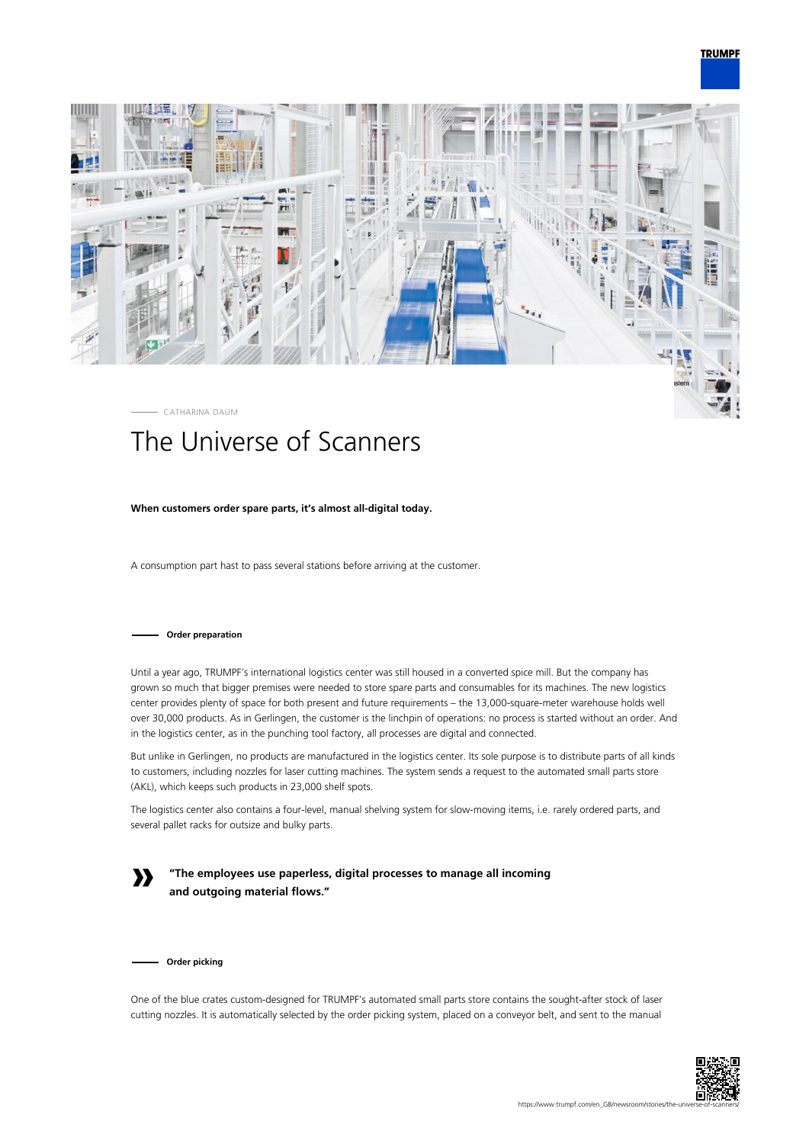



# The Universe of Scanners

## **When customers order spare parts, it's almost all-digital today.**

A consumption part hast to pass several stations before arriving at the customer.

#### **Order preparation**

Until a year ago, TRUMPF's international logistics center was still housed in a converted spice mill. But the company has grown so much that bigger premises were needed to store spare parts and consumables for its machines. The new logistics center provides plenty of space for both present and future requirements – the 13,000-square-meter warehouse holds well over 30,000 products. As in Gerlingen, the customer is the linchpin of operations: no process is started without an order. And in the logistics center, as in the punching tool factory, all processes are digital and connected.

But unlike in Gerlingen, no products are manufactured in the logistics center. Its sole purpose is to distribute parts of all kinds to customers, including nozzles for laser cutting machines. The system sends a request to the automated small parts store (AKL), which keeps such products in 23,000 shelf spots.

The logistics center also contains a four-level, manual shelving system for slow-moving items, i.e. rarely ordered parts, and several pallet racks for outsize and bulky parts.

**»**

**"The employees use paperless, digital processes to manage all incoming and outgoing material flows."**

**Order picking**

One of the blue crates custom-designed for TRUMPF's automated small parts store contains the sought-after stock of laser cutting nozzles. It is automatically selected by the order picking system, placed on a conveyor belt, and sent to the manual

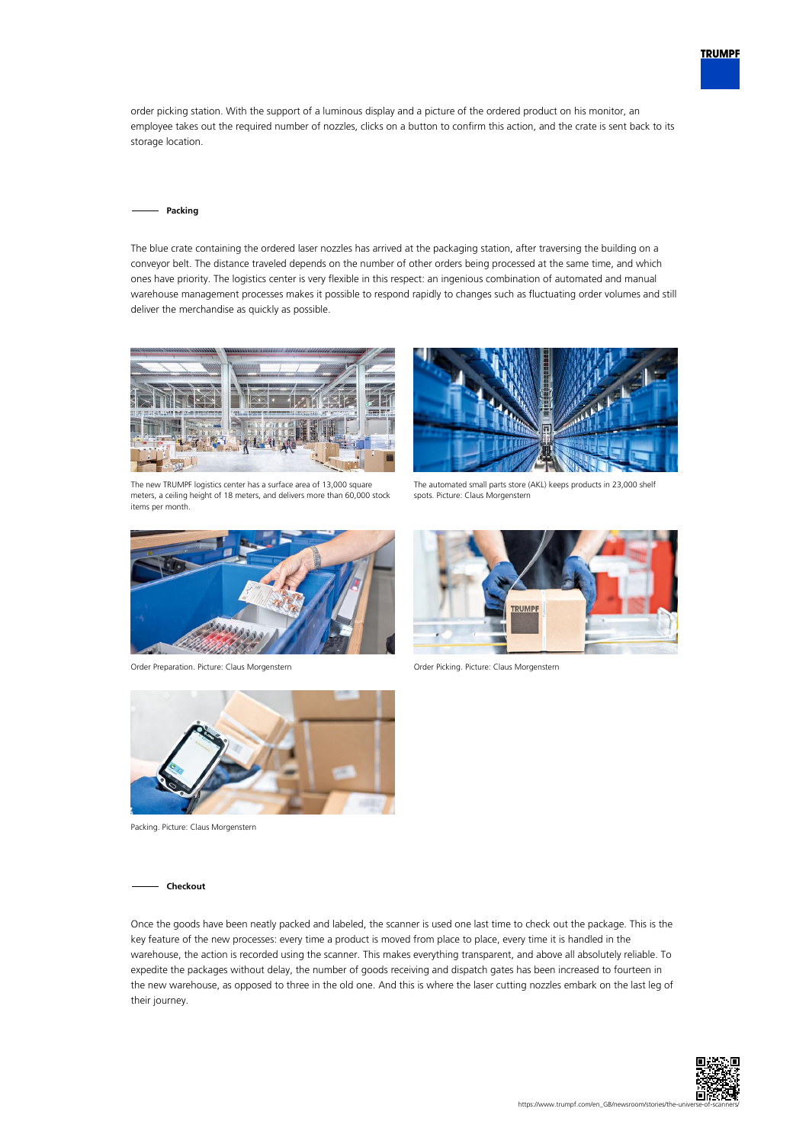

order picking station. With the support of a luminous display and a picture of the ordered product on his monitor, an employee takes out the required number of nozzles, clicks on a button to confirm this action, and the crate is sent back to its storage location.

#### **Packing**

The blue crate containing the ordered laser nozzles has arrived at the packaging station, after traversing the building on a conveyor belt. The distance traveled depends on the number of other orders being processed at the same time, and which ones have priority. The logistics center is very flexible in this respect: an ingenious combination of automated and manual warehouse management processes makes it possible to respond rapidly to changes such as fluctuating order volumes and still deliver the merchandise as quickly as possible.



The new TRUMPF logistics center has a surface area of 13,000 square meters, a ceiling height of 18 meters, and delivers more than 60,000 stock items per month.



Order Preparation. Picture: Claus Morgenstern Order Picking. Picture: Claus Morgenstern



The automated small parts store (AKL) keeps products in 23,000 shelf spots. Picture: Claus Morgenstern





Packing. Picture: Claus Morgenstern

### **Checkout**

Once the goods have been neatly packed and labeled, the scanner is used one last time to check out the package. This is the key feature of the new processes: every time a product is moved from place to place, every time it is handled in the warehouse, the action is recorded using the scanner. This makes everything transparent, and above all absolutely reliable. To expedite the packages without delay, the number of goods receiving and dispatch gates has been increased to fourteen in the new warehouse, as opposed to three in the old one. And this is where the laser cutting nozzles embark on the last leg of their journey.